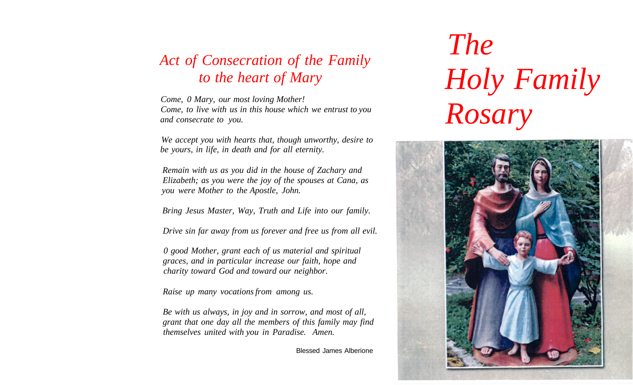## *Act of Consecration of the Family to the heart of Mary*

*Come, 0 Mary, our most loving Mother! Come, to live with us in this house which we entrust to you and consecrate to you.* 

*We accept you with hearts that, though unworthy, desire to be yours, in life, in death and for all eternity.* 

*Remain with us as you did in the house of Zachary and Elizabeth; as you were the joy of the spouses at Cana, as you were Mother to the Apostle, John.* 

*Bring Jesus Master, Way, Truth and Life into our family.* 

*Drive sin far away from us forever and free us from all evil.* 

*0 good Mother, grant each of us material and spiritual graces, and in particular increase our faith, hope and charity toward God and toward our neighbor.* 

*Raise up many vocations from among us.* 

*Be with us always, in joy and in sorrow, and most of all, grant that one day all the members of this family may find themselves united with you in Paradise. Amen.* 

Blessed James Alberione

*The Holy Family Rosary*

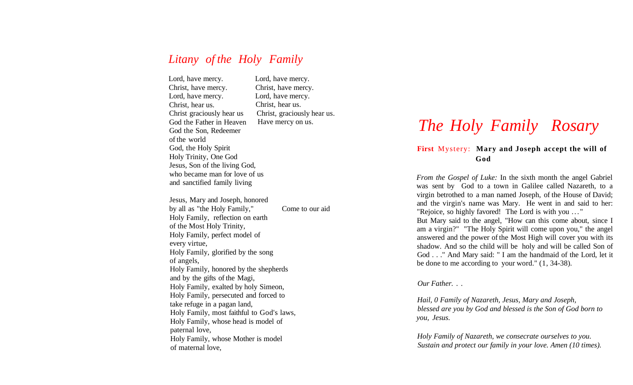## *Litany of the Holy Family*

Lord , hav e mercy. Christ , hav e mercy. Lord , hav e mercy. Christ, hear us. Chris t graciousl y hea r us Go d th e Fathe r i n Heaven Go d th e Son , Redeemer o f th e world God , th e Hol y Spirit Hol y Trinity , On e God Jesus , So n o f th e livin g God, wh o becam e ma n for lov e o f us an d sanctifie d famil y living

Lord , hav e mercy. Christ , hav e mercy. Lord , hav e mercy. Christ, hear us. Christ, graciously hear us. Hav e merc y o n us.

Jesus , Mar y an d Joseph , honored b y al l a s "th e Hol y Family," Hol y Family , reflectio n o n earth o f th e Mos t Hol y Trinity, Hol y Family , perfec t mode l of ever y virtue, Hol y Family , glorifie d b y th e song o f angels, Hol y Family , honore d b y th e shepherds an d b y th e gift s o f th e Magi, Hol y Family , exalte d b y hol y Simeon, Hol y Family , persecute d an d force d to tak e refug e i n a paga n land, Hol y Family , mos t faithfu l t o God' s laws, Hol y Family , whos e hea d i s mode l of paterna l love, Hol y Family , whos e Mothe r i s model o f materna l love, Com e t o ou r aid

# *The Holy Family Rosary*

### **First** Mystery: Mary and Joseph accept the will of **God**

From the Gospel of Luke: In the sixth month the angel Gabriel was sent by God to a town in Galilee called Nazareth, to a virgi n betrothe d t o a ma n name d Joseph , o f th e Hous e o f David; an d th e virgin' s nam e was Mary . H e wen t i n an d sai d t o her: "Rejoice, so highly favored! The Lord is with you ..."

But Mary said to the angel, "How can this come about, since I a m a virgin? " "Th e Hol y Spiri t wil l com e upo n you, " th e angel answere d an d th e powe r o f th e Mos t Hig h wil l cove r yo u wit h its shadow. And so the child will be holy and will be called Son of God . . ." And Mary said: " I am the handmaid of the Lord, let it b e don e t o m e accordin g t o you r word. " (1 , 34-38).

#### *Our Father. . .*

*Hail, 0 Family of Nazareth, Jesus, Mary and Joseph, blessed are you by God and blessed is the Son of God born to you, Jesus.* 

*Holy Family of Nazareth, we consecrate ourselves to you. Sustain and protect our family in your love. Amen (10 times).*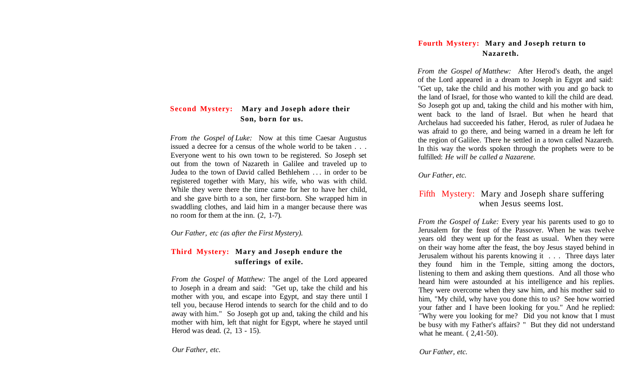## **Second Mystery: Mary and Joseph adore their Son, born for us.**

*From the Gospel of Luke:* Now at this time Caesar Augustus issued a decree for a census of the whole world to be taken . . . Everyone went to his own town to be registered. So Joseph set out from the town of Nazareth in Galilee and traveled up to Judea to the town of David called Bethlehem .. . in order to be registered together with Mary, his wife, who was with child. While they were there the time came for her to have her child, and she gave birth to a son, her first-born. She wrapped him in swaddling clothes, and laid him in a manger because there was no room for them at the inn. (2, 1-7).

*Our Father, etc (as after the First Mystery).* 

## **Third Mystery: Mary and Joseph endure the sufferings of exile.**

*From the Gospel of Matthew:* The angel of the Lord appeared to Joseph in a dream and said: "Get up, take the child and his mother with you, and escape into Egypt, and stay there until I tell you, because Herod intends to search for the child and to do away with him." So Joseph got up and, taking the child and his mother with him, left that night for Egypt, where he stayed until Herod was dead. (2, 13 - 15).

*Our Father, etc.* 

## **Fourth Mystery: Mary and Joseph return to Nazareth.**

*From the Gospel of Matthew:* After Herod's death, the angel of the Lord appeared in a dream to Joseph in Egypt and said: "Get up, take the child and his mother with you and go back to the land of Israel, for those who wanted to kill the child are dead. So Joseph got up and, taking the child and his mother with him, went back to the land of Israel. But when he heard that Archelaus had succeeded his father, Herod, as ruler of Judaea he was afraid to go there, and being warned in a dream he left for the region of Galilee. There he settled in a town called Nazareth. In this way the words spoken through the prophets were to be fulfilled: *He will be called a Nazarene.* 

*Our Father, etc.* 

## Fifth Mystery: Mary and Joseph share suffering when Jesus seems lost.

*From the Gospel of Luke:* Every year his parents used to go to Jerusalem for the feast of the Passover. When he was twelve years old they went up for the feast as usual. When they were on their way home after the feast, the boy Jesus stayed behind in Jerusalem without his parents knowing it . . . Three days later they found him in the Temple, sitting among the doctors, listening to them and asking them questions. And all those who heard him were astounded at his intelligence and his replies. They were overcome when they saw him, and his mother said to him, "My child, why have you done this to us? See how worried your father and I have been looking for you." And he replied: "Why were you looking for me? Did you not know that I must be busy with my Father's affairs? " But they did not understand what he meant. ( 2,41-50).